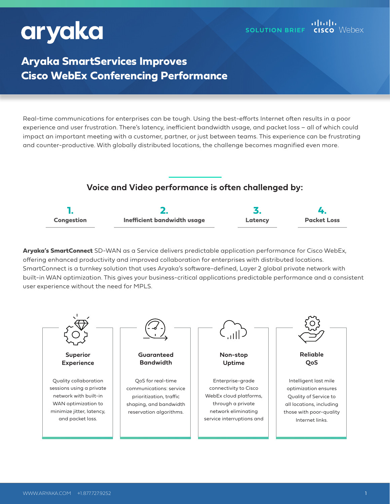# aryaka

## **Aryaka SmartServices Improves Cisco WebEx Conferencing Performance**

Real-time communications for enterprises can be tough. Using the best-efforts Internet often results in a poor experience and user frustration. There's latency, inefficient bandwidth usage, and packet loss – all of which could impact an important meeting with a customer, partner, or just between teams. This experience can be frustrating and counter-productive. With globally distributed locations, the challenge becomes magnified even more.

### **Voice and Video performance is often challenged by:**



**Aryaka's SmartConnect** SD-WAN as a Service delivers predictable application performance for Cisco WebEx, offering enhanced productivity and improved collaboration for enterprises with distributed locations. SmartConnect is a turnkey solution that uses Aryaka's software-defined, Layer 2 global private network with built-in WAN optimization. This gives your business-critical applications predictable performance and a consistent user experience without the need for MPLS.